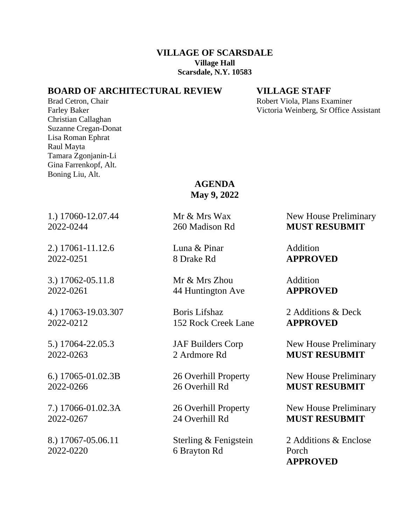### **VILLAGE OF SCARSDALE Village Hall Scarsdale, N.Y. 10583**

## **BOARD OF ARCHITECTURAL REVIEW VILLAGE STAFF**

Christian Callaghan Suzanne Cregan-Donat Lisa Roman Ephrat Raul Mayta Tamara Zgonjanin-Li Gina Farrenkopf, Alt. Boning Liu, Alt.

Brad Cetron, Chair **Robert Viola, Plans Examiner** Robert Viola, Plans Examiner Farley Baker Victoria Weinberg, Sr Office Assistant

> **AGENDA May 9, 2022**

2.) 17061-11.12.6 Luna & Pinar Addition 2022-0251 8 Drake Rd **APPROVED**

3.) 17062-05.11.8 Mr & Mrs Zhou Addition 2022-0261 44 Huntington Ave **APPROVED**

4.) 17063-19.03.307 Boris Lifshaz 2 Additions & Deck 2022-0212 152 Rock Creek Lane **APPROVED**

2022-0220 6 Brayton Rd Porch

1.) 17060-12.07.44 Mr & Mrs Wax New House Preliminary 2022-0244 260 Madison Rd **MUST RESUBMIT**

5.) 17064-22.05.3 JAF Builders Corp New House Preliminary 2022-0263 2 Ardmore Rd **MUST RESUBMIT**

6.) 17065-01.02.3B 26 Overhill Property New House Preliminary 2022-0266 26 Overhill Rd **MUST RESUBMIT**

7.) 17066-01.02.3A 26 Overhill Property New House Preliminary 2022-0267 24 Overhill Rd **MUST RESUBMIT**

8.) 17067-05.06.11 Sterling & Fenigstein 2 Additions & Enclose **APPROVED**